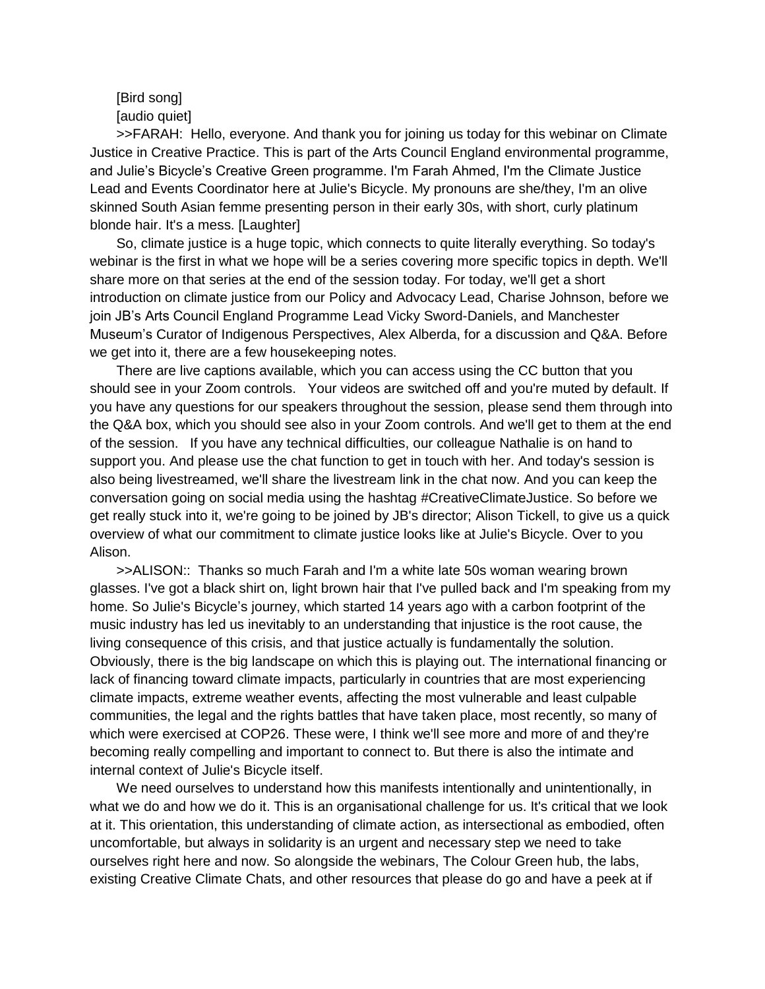# [Bird song] [audio quiet]

>>FARAH: Hello, everyone. And thank you for joining us today for this webinar on Climate Justice in Creative Practice. This is part of the Arts Council England environmental programme, and Julie's Bicycle's Creative Green programme. I'm Farah Ahmed, I'm the Climate Justice Lead and Events Coordinator here at Julie's Bicycle. My pronouns are she/they, I'm an olive skinned South Asian femme presenting person in their early 30s, with short, curly platinum blonde hair. It's a mess. [Laughter]

So, climate justice is a huge topic, which connects to quite literally everything. So today's webinar is the first in what we hope will be a series covering more specific topics in depth. We'll share more on that series at the end of the session today. For today, we'll get a short introduction on climate justice from our Policy and Advocacy Lead, Charise Johnson, before we join JB's Arts Council England Programme Lead Vicky Sword-Daniels, and Manchester Museum's Curator of Indigenous Perspectives, Alex Alberda, for a discussion and Q&A. Before we get into it, there are a few housekeeping notes.

There are live captions available, which you can access using the CC button that you should see in your Zoom controls. Your videos are switched off and you're muted by default. If you have any questions for our speakers throughout the session, please send them through into the Q&A box, which you should see also in your Zoom controls. And we'll get to them at the end of the session. If you have any technical difficulties, our colleague Nathalie is on hand to support you. And please use the chat function to get in touch with her. And today's session is also being livestreamed, we'll share the livestream link in the chat now. And you can keep the conversation going on social media using the hashtag #CreativeClimateJustice. So before we get really stuck into it, we're going to be joined by JB's director; Alison Tickell, to give us a quick overview of what our commitment to climate justice looks like at Julie's Bicycle. Over to you Alison.

>>ALISON:: Thanks so much Farah and I'm a white late 50s woman wearing brown glasses. I've got a black shirt on, light brown hair that I've pulled back and I'm speaking from my home. So Julie's Bicycle's journey, which started 14 years ago with a carbon footprint of the music industry has led us inevitably to an understanding that injustice is the root cause, the living consequence of this crisis, and that justice actually is fundamentally the solution. Obviously, there is the big landscape on which this is playing out. The international financing or lack of financing toward climate impacts, particularly in countries that are most experiencing climate impacts, extreme weather events, affecting the most vulnerable and least culpable communities, the legal and the rights battles that have taken place, most recently, so many of which were exercised at COP26. These were, I think we'll see more and more of and they're becoming really compelling and important to connect to. But there is also the intimate and internal context of Julie's Bicycle itself.

We need ourselves to understand how this manifests intentionally and unintentionally, in what we do and how we do it. This is an organisational challenge for us. It's critical that we look at it. This orientation, this understanding of climate action, as intersectional as embodied, often uncomfortable, but always in solidarity is an urgent and necessary step we need to take ourselves right here and now. So alongside the webinars, The Colour Green hub, the labs, existing Creative Climate Chats, and other resources that please do go and have a peek at if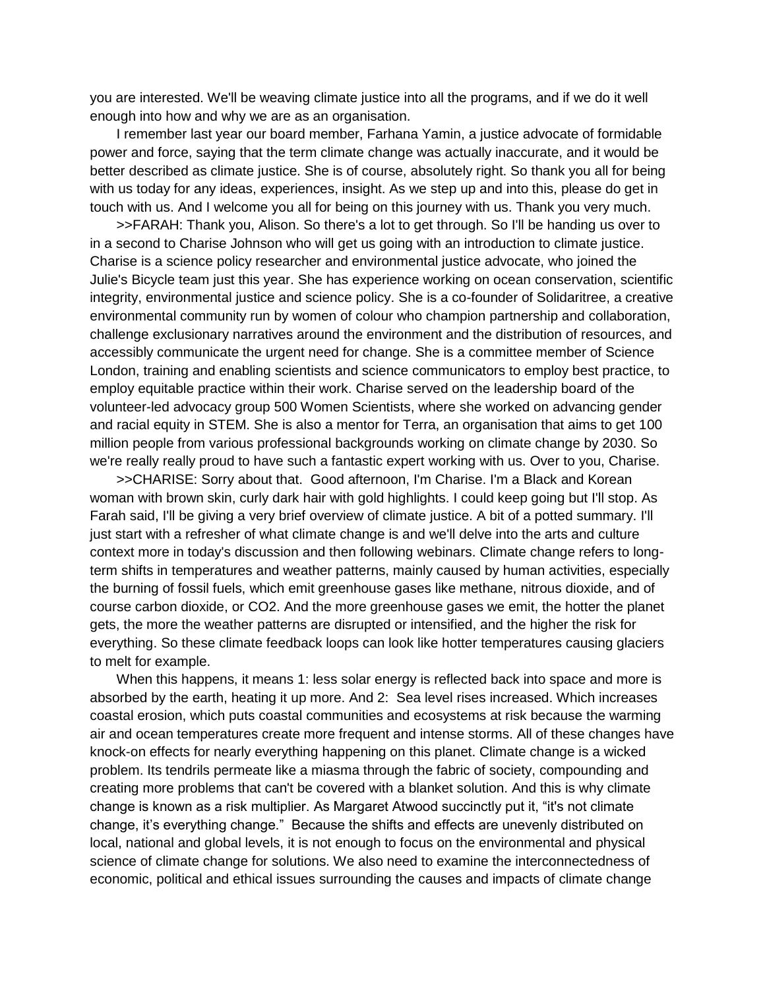you are interested. We'll be weaving climate justice into all the programs, and if we do it well enough into how and why we are as an organisation.

I remember last year our board member, Farhana Yamin, a justice advocate of formidable power and force, saying that the term climate change was actually inaccurate, and it would be better described as climate justice. She is of course, absolutely right. So thank you all for being with us today for any ideas, experiences, insight. As we step up and into this, please do get in touch with us. And I welcome you all for being on this journey with us. Thank you very much.

>>FARAH: Thank you, Alison. So there's a lot to get through. So I'll be handing us over to in a second to Charise Johnson who will get us going with an introduction to climate justice. Charise is a science policy researcher and environmental justice advocate, who joined the Julie's Bicycle team just this year. She has experience working on ocean conservation, scientific integrity, environmental justice and science policy. She is a co-founder of Solidaritree, a creative environmental community run by women of colour who champion partnership and collaboration, challenge exclusionary narratives around the environment and the distribution of resources, and accessibly communicate the urgent need for change. She is a committee member of Science London, training and enabling scientists and science communicators to employ best practice, to employ equitable practice within their work. Charise served on the leadership board of the volunteer-led advocacy group 500 Women Scientists, where she worked on advancing gender and racial equity in STEM. She is also a mentor for Terra, an organisation that aims to get 100 million people from various professional backgrounds working on climate change by 2030. So we're really really proud to have such a fantastic expert working with us. Over to you, Charise.

>>CHARISE: Sorry about that. Good afternoon, I'm Charise. I'm a Black and Korean woman with brown skin, curly dark hair with gold highlights. I could keep going but I'll stop. As Farah said, I'll be giving a very brief overview of climate justice. A bit of a potted summary. I'll just start with a refresher of what climate change is and we'll delve into the arts and culture context more in today's discussion and then following webinars. Climate change refers to longterm shifts in temperatures and weather patterns, mainly caused by human activities, especially the burning of fossil fuels, which emit greenhouse gases like methane, nitrous dioxide, and of course carbon dioxide, or CO2. And the more greenhouse gases we emit, the hotter the planet gets, the more the weather patterns are disrupted or intensified, and the higher the risk for everything. So these climate feedback loops can look like hotter temperatures causing glaciers to melt for example.

When this happens, it means 1: less solar energy is reflected back into space and more is absorbed by the earth, heating it up more. And 2: Sea level rises increased. Which increases coastal erosion, which puts coastal communities and ecosystems at risk because the warming air and ocean temperatures create more frequent and intense storms. All of these changes have knock-on effects for nearly everything happening on this planet. Climate change is a wicked problem. Its tendrils permeate like a miasma through the fabric of society, compounding and creating more problems that can't be covered with a blanket solution. And this is why climate change is known as a risk multiplier. As Margaret Atwood succinctly put it, "it's not climate change, it's everything change." Because the shifts and effects are unevenly distributed on local, national and global levels, it is not enough to focus on the environmental and physical science of climate change for solutions. We also need to examine the interconnectedness of economic, political and ethical issues surrounding the causes and impacts of climate change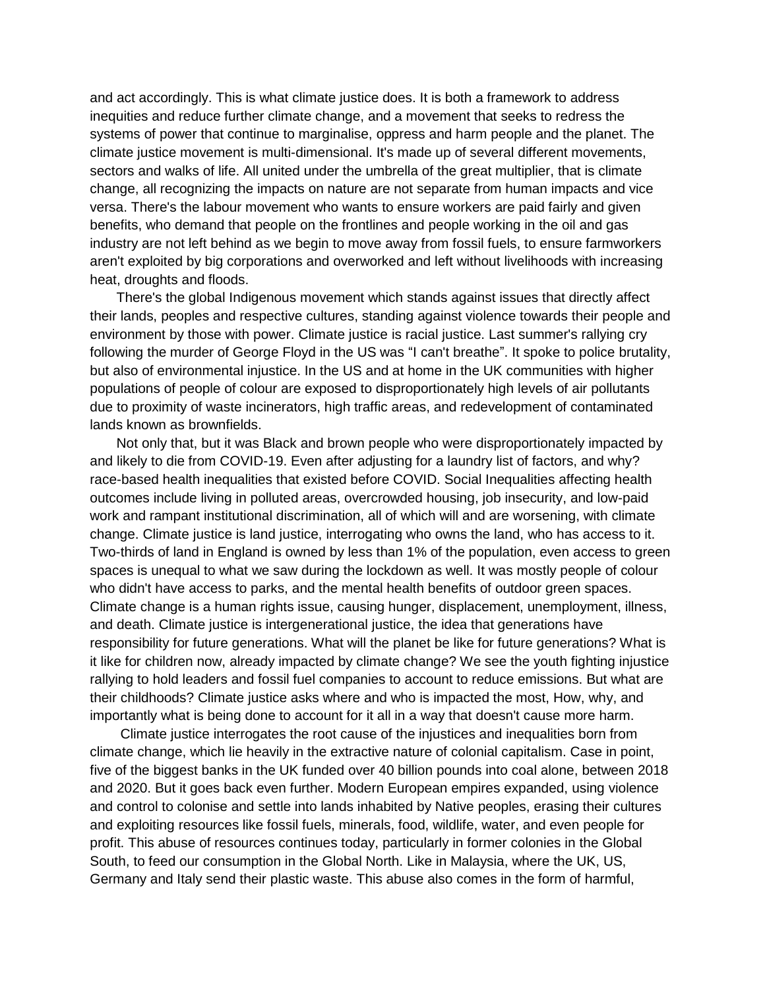and act accordingly. This is what climate justice does. It is both a framework to address inequities and reduce further climate change, and a movement that seeks to redress the systems of power that continue to marginalise, oppress and harm people and the planet. The climate justice movement is multi-dimensional. It's made up of several different movements, sectors and walks of life. All united under the umbrella of the great multiplier, that is climate change, all recognizing the impacts on nature are not separate from human impacts and vice versa. There's the labour movement who wants to ensure workers are paid fairly and given benefits, who demand that people on the frontlines and people working in the oil and gas industry are not left behind as we begin to move away from fossil fuels, to ensure farmworkers aren't exploited by big corporations and overworked and left without livelihoods with increasing heat, droughts and floods.

There's the global Indigenous movement which stands against issues that directly affect their lands, peoples and respective cultures, standing against violence towards their people and environment by those with power. Climate justice is racial justice. Last summer's rallying cry following the murder of George Floyd in the US was "I can't breathe". It spoke to police brutality, but also of environmental injustice. In the US and at home in the UK communities with higher populations of people of colour are exposed to disproportionately high levels of air pollutants due to proximity of waste incinerators, high traffic areas, and redevelopment of contaminated lands known as brownfields.

Not only that, but it was Black and brown people who were disproportionately impacted by and likely to die from COVID-19. Even after adjusting for a laundry list of factors, and why? race-based health inequalities that existed before COVID. Social Inequalities affecting health outcomes include living in polluted areas, overcrowded housing, job insecurity, and low-paid work and rampant institutional discrimination, all of which will and are worsening, with climate change. Climate justice is land justice, interrogating who owns the land, who has access to it. Two-thirds of land in England is owned by less than 1% of the population, even access to green spaces is unequal to what we saw during the lockdown as well. It was mostly people of colour who didn't have access to parks, and the mental health benefits of outdoor green spaces. Climate change is a human rights issue, causing hunger, displacement, unemployment, illness, and death. Climate justice is intergenerational justice, the idea that generations have responsibility for future generations. What will the planet be like for future generations? What is it like for children now, already impacted by climate change? We see the youth fighting injustice rallying to hold leaders and fossil fuel companies to account to reduce emissions. But what are their childhoods? Climate justice asks where and who is impacted the most, How, why, and importantly what is being done to account for it all in a way that doesn't cause more harm.

Climate justice interrogates the root cause of the injustices and inequalities born from climate change, which lie heavily in the extractive nature of colonial capitalism. Case in point, five of the biggest banks in the UK funded over 40 billion pounds into coal alone, between 2018 and 2020. But it goes back even further. Modern European empires expanded, using violence and control to colonise and settle into lands inhabited by Native peoples, erasing their cultures and exploiting resources like fossil fuels, minerals, food, wildlife, water, and even people for profit. This abuse of resources continues today, particularly in former colonies in the Global South, to feed our consumption in the Global North. Like in Malaysia, where the UK, US, Germany and Italy send their plastic waste. This abuse also comes in the form of harmful,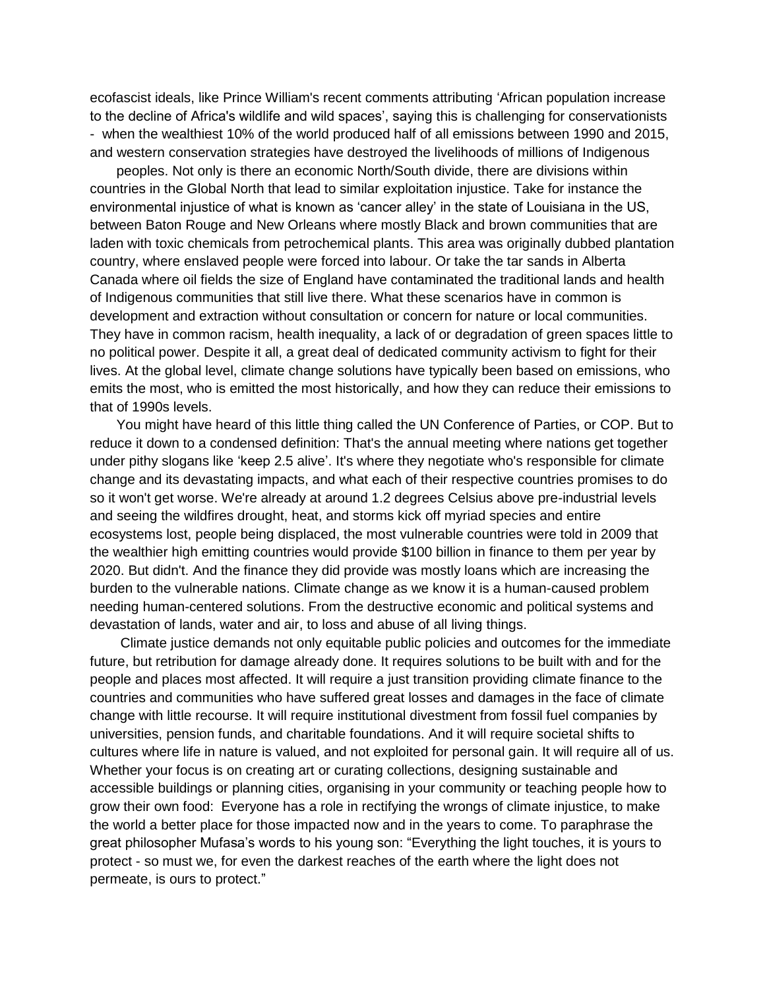ecofascist ideals, like Prince William's recent comments attributing 'African population increase to the decline of Africa's wildlife and wild spaces', saying this is challenging for conservationists - when the wealthiest 10% of the world produced half of all emissions between 1990 and 2015, and western conservation strategies have destroyed the livelihoods of millions of Indigenous

peoples. Not only is there an economic North/South divide, there are divisions within countries in the Global North that lead to similar exploitation injustice. Take for instance the environmental injustice of what is known as 'cancer alley' in the state of Louisiana in the US, between Baton Rouge and New Orleans where mostly Black and brown communities that are laden with toxic chemicals from petrochemical plants. This area was originally dubbed plantation country, where enslaved people were forced into labour. Or take the tar sands in Alberta Canada where oil fields the size of England have contaminated the traditional lands and health of Indigenous communities that still live there. What these scenarios have in common is development and extraction without consultation or concern for nature or local communities. They have in common racism, health inequality, a lack of or degradation of green spaces little to no political power. Despite it all, a great deal of dedicated community activism to fight for their lives. At the global level, climate change solutions have typically been based on emissions, who emits the most, who is emitted the most historically, and how they can reduce their emissions to that of 1990s levels.

You might have heard of this little thing called the UN Conference of Parties, or COP. But to reduce it down to a condensed definition: That's the annual meeting where nations get together under pithy slogans like 'keep 2.5 alive'. It's where they negotiate who's responsible for climate change and its devastating impacts, and what each of their respective countries promises to do so it won't get worse. We're already at around 1.2 degrees Celsius above pre-industrial levels and seeing the wildfires drought, heat, and storms kick off myriad species and entire ecosystems lost, people being displaced, the most vulnerable countries were told in 2009 that the wealthier high emitting countries would provide \$100 billion in finance to them per year by 2020. But didn't. And the finance they did provide was mostly loans which are increasing the burden to the vulnerable nations. Climate change as we know it is a human-caused problem needing human-centered solutions. From the destructive economic and political systems and devastation of lands, water and air, to loss and abuse of all living things.

Climate justice demands not only equitable public policies and outcomes for the immediate future, but retribution for damage already done. It requires solutions to be built with and for the people and places most affected. It will require a just transition providing climate finance to the countries and communities who have suffered great losses and damages in the face of climate change with little recourse. It will require institutional divestment from fossil fuel companies by universities, pension funds, and charitable foundations. And it will require societal shifts to cultures where life in nature is valued, and not exploited for personal gain. It will require all of us. Whether your focus is on creating art or curating collections, designing sustainable and accessible buildings or planning cities, organising in your community or teaching people how to grow their own food: Everyone has a role in rectifying the wrongs of climate injustice, to make the world a better place for those impacted now and in the years to come. To paraphrase the great philosopher Mufasa's words to his young son: "Everything the light touches, it is yours to protect - so must we, for even the darkest reaches of the earth where the light does not permeate, is ours to protect."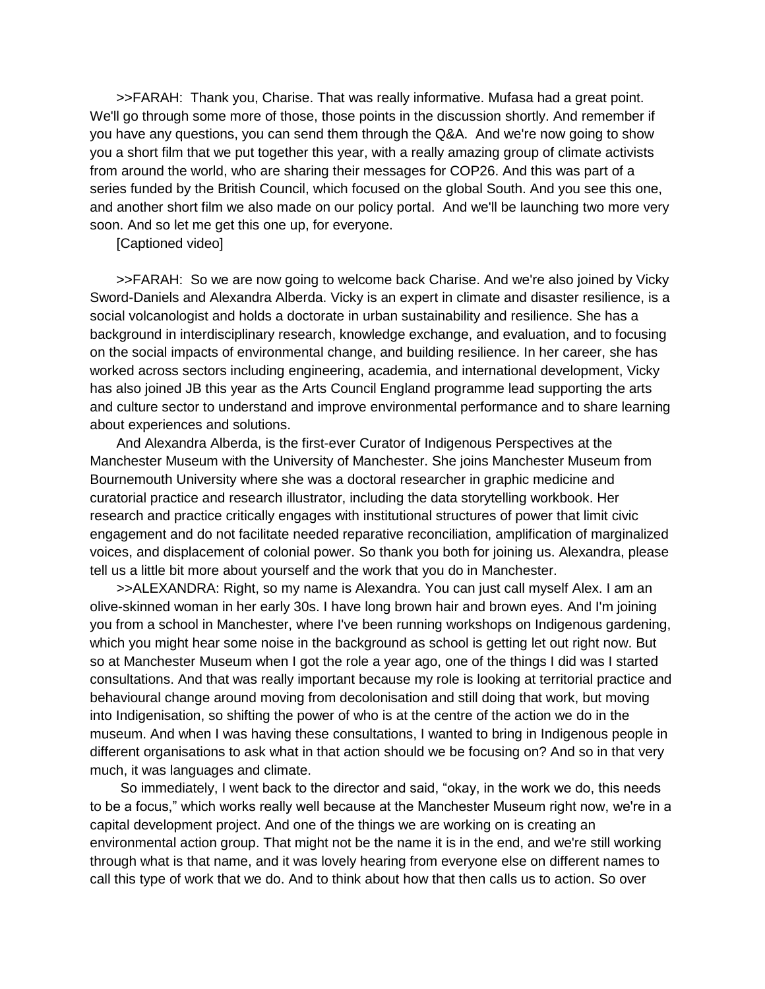>>FARAH: Thank you, Charise. That was really informative. Mufasa had a great point. We'll go through some more of those, those points in the discussion shortly. And remember if you have any questions, you can send them through the Q&A. And we're now going to show you a short film that we put together this year, with a really amazing group of climate activists from around the world, who are sharing their messages for COP26. And this was part of a series funded by the British Council, which focused on the global South. And you see this one, and another short film we also made on our policy portal. And we'll be launching two more very soon. And so let me get this one up, for everyone.

[Captioned video]

>>FARAH: So we are now going to welcome back Charise. And we're also joined by Vicky Sword-Daniels and Alexandra Alberda. Vicky is an expert in climate and disaster resilience, is a social volcanologist and holds a doctorate in urban sustainability and resilience. She has a background in interdisciplinary research, knowledge exchange, and evaluation, and to focusing on the social impacts of environmental change, and building resilience. In her career, she has worked across sectors including engineering, academia, and international development, Vicky has also joined JB this year as the Arts Council England programme lead supporting the arts and culture sector to understand and improve environmental performance and to share learning about experiences and solutions.

And Alexandra Alberda, is the first-ever Curator of Indigenous Perspectives at the Manchester Museum with the University of Manchester. She joins Manchester Museum from Bournemouth University where she was a doctoral researcher in graphic medicine and curatorial practice and research illustrator, including the data storytelling workbook. Her research and practice critically engages with institutional structures of power that limit civic engagement and do not facilitate needed reparative reconciliation, amplification of marginalized voices, and displacement of colonial power. So thank you both for joining us. Alexandra, please tell us a little bit more about yourself and the work that you do in Manchester.

>>ALEXANDRA: Right, so my name is Alexandra. You can just call myself Alex. I am an olive-skinned woman in her early 30s. I have long brown hair and brown eyes. And I'm joining you from a school in Manchester, where I've been running workshops on Indigenous gardening, which you might hear some noise in the background as school is getting let out right now. But so at Manchester Museum when I got the role a year ago, one of the things I did was I started consultations. And that was really important because my role is looking at territorial practice and behavioural change around moving from decolonisation and still doing that work, but moving into Indigenisation, so shifting the power of who is at the centre of the action we do in the museum. And when I was having these consultations, I wanted to bring in Indigenous people in different organisations to ask what in that action should we be focusing on? And so in that very much, it was languages and climate.

So immediately, I went back to the director and said, "okay, in the work we do, this needs to be a focus," which works really well because at the Manchester Museum right now, we're in a capital development project. And one of the things we are working on is creating an environmental action group. That might not be the name it is in the end, and we're still working through what is that name, and it was lovely hearing from everyone else on different names to call this type of work that we do. And to think about how that then calls us to action. So over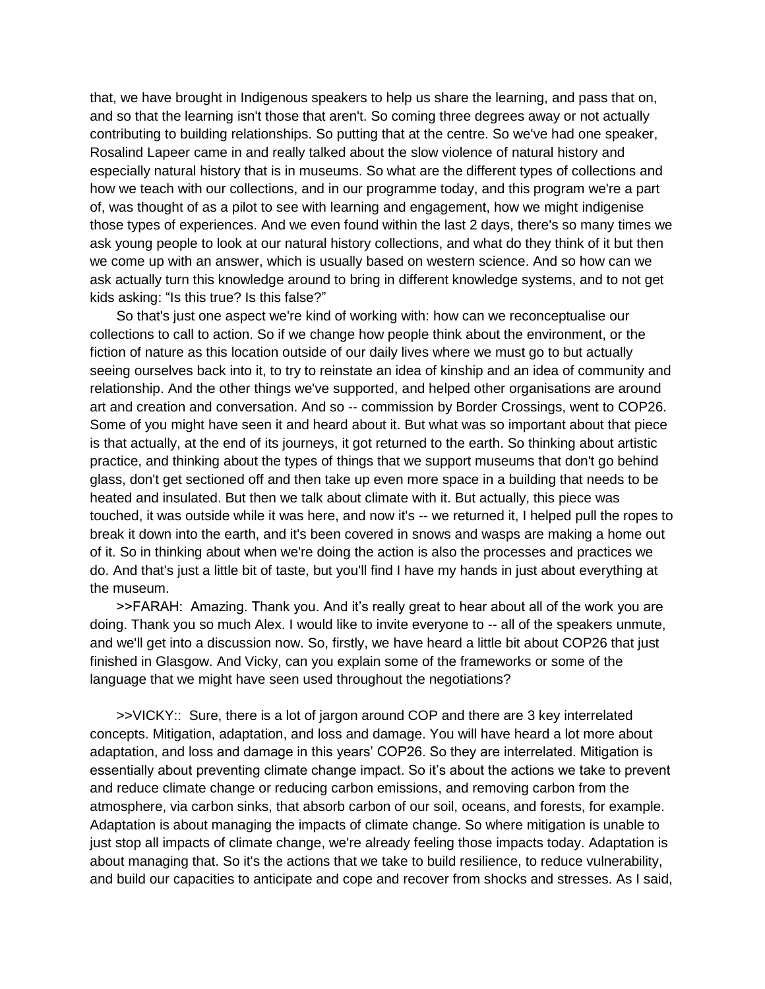that, we have brought in Indigenous speakers to help us share the learning, and pass that on, and so that the learning isn't those that aren't. So coming three degrees away or not actually contributing to building relationships. So putting that at the centre. So we've had one speaker, Rosalind Lapeer came in and really talked about the slow violence of natural history and especially natural history that is in museums. So what are the different types of collections and how we teach with our collections, and in our programme today, and this program we're a part of, was thought of as a pilot to see with learning and engagement, how we might indigenise those types of experiences. And we even found within the last 2 days, there's so many times we ask young people to look at our natural history collections, and what do they think of it but then we come up with an answer, which is usually based on western science. And so how can we ask actually turn this knowledge around to bring in different knowledge systems, and to not get kids asking: "Is this true? Is this false?"

So that's just one aspect we're kind of working with: how can we reconceptualise our collections to call to action. So if we change how people think about the environment, or the fiction of nature as this location outside of our daily lives where we must go to but actually seeing ourselves back into it, to try to reinstate an idea of kinship and an idea of community and relationship. And the other things we've supported, and helped other organisations are around art and creation and conversation. And so -- commission by Border Crossings, went to COP26. Some of you might have seen it and heard about it. But what was so important about that piece is that actually, at the end of its journeys, it got returned to the earth. So thinking about artistic practice, and thinking about the types of things that we support museums that don't go behind glass, don't get sectioned off and then take up even more space in a building that needs to be heated and insulated. But then we talk about climate with it. But actually, this piece was touched, it was outside while it was here, and now it's -- we returned it, I helped pull the ropes to break it down into the earth, and it's been covered in snows and wasps are making a home out of it. So in thinking about when we're doing the action is also the processes and practices we do. And that's just a little bit of taste, but you'll find I have my hands in just about everything at the museum.

>>FARAH: Amazing. Thank you. And it's really great to hear about all of the work you are doing. Thank you so much Alex. I would like to invite everyone to -- all of the speakers unmute, and we'll get into a discussion now. So, firstly, we have heard a little bit about COP26 that just finished in Glasgow. And Vicky, can you explain some of the frameworks or some of the language that we might have seen used throughout the negotiations?

>>VICKY:: Sure, there is a lot of jargon around COP and there are 3 key interrelated concepts. Mitigation, adaptation, and loss and damage. You will have heard a lot more about adaptation, and loss and damage in this years' COP26. So they are interrelated. Mitigation is essentially about preventing climate change impact. So it's about the actions we take to prevent and reduce climate change or reducing carbon emissions, and removing carbon from the atmosphere, via carbon sinks, that absorb carbon of our soil, oceans, and forests, for example. Adaptation is about managing the impacts of climate change. So where mitigation is unable to just stop all impacts of climate change, we're already feeling those impacts today. Adaptation is about managing that. So it's the actions that we take to build resilience, to reduce vulnerability, and build our capacities to anticipate and cope and recover from shocks and stresses. As I said,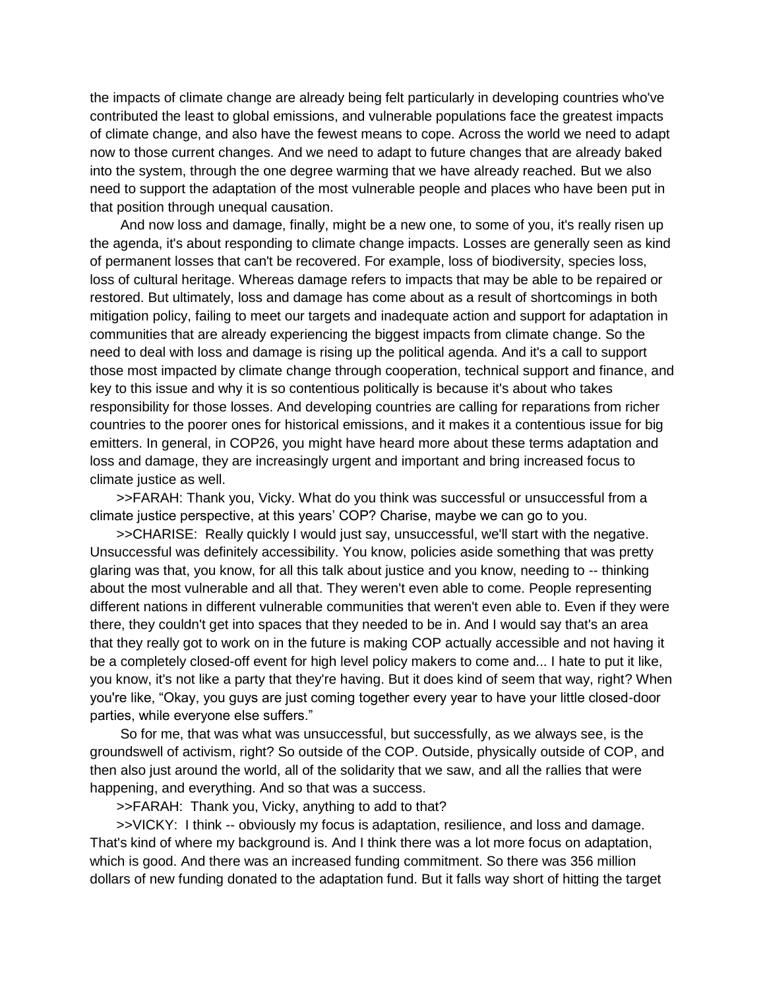the impacts of climate change are already being felt particularly in developing countries who've contributed the least to global emissions, and vulnerable populations face the greatest impacts of climate change, and also have the fewest means to cope. Across the world we need to adapt now to those current changes. And we need to adapt to future changes that are already baked into the system, through the one degree warming that we have already reached. But we also need to support the adaptation of the most vulnerable people and places who have been put in that position through unequal causation.

And now loss and damage, finally, might be a new one, to some of you, it's really risen up the agenda, it's about responding to climate change impacts. Losses are generally seen as kind of permanent losses that can't be recovered. For example, loss of biodiversity, species loss, loss of cultural heritage. Whereas damage refers to impacts that may be able to be repaired or restored. But ultimately, loss and damage has come about as a result of shortcomings in both mitigation policy, failing to meet our targets and inadequate action and support for adaptation in communities that are already experiencing the biggest impacts from climate change. So the need to deal with loss and damage is rising up the political agenda. And it's a call to support those most impacted by climate change through cooperation, technical support and finance, and key to this issue and why it is so contentious politically is because it's about who takes responsibility for those losses. And developing countries are calling for reparations from richer countries to the poorer ones for historical emissions, and it makes it a contentious issue for big emitters. In general, in COP26, you might have heard more about these terms adaptation and loss and damage, they are increasingly urgent and important and bring increased focus to climate justice as well.

>>FARAH: Thank you, Vicky. What do you think was successful or unsuccessful from a climate justice perspective, at this years' COP? Charise, maybe we can go to you.

>>CHARISE: Really quickly I would just say, unsuccessful, we'll start with the negative. Unsuccessful was definitely accessibility. You know, policies aside something that was pretty glaring was that, you know, for all this talk about justice and you know, needing to -- thinking about the most vulnerable and all that. They weren't even able to come. People representing different nations in different vulnerable communities that weren't even able to. Even if they were there, they couldn't get into spaces that they needed to be in. And I would say that's an area that they really got to work on in the future is making COP actually accessible and not having it be a completely closed-off event for high level policy makers to come and... I hate to put it like, you know, it's not like a party that they're having. But it does kind of seem that way, right? When you're like, "Okay, you guys are just coming together every year to have your little closed-door parties, while everyone else suffers."

So for me, that was what was unsuccessful, but successfully, as we always see, is the groundswell of activism, right? So outside of the COP. Outside, physically outside of COP, and then also just around the world, all of the solidarity that we saw, and all the rallies that were happening, and everything. And so that was a success.

>>FARAH: Thank you, Vicky, anything to add to that?

>>VICKY: I think -- obviously my focus is adaptation, resilience, and loss and damage. That's kind of where my background is. And I think there was a lot more focus on adaptation, which is good. And there was an increased funding commitment. So there was 356 million dollars of new funding donated to the adaptation fund. But it falls way short of hitting the target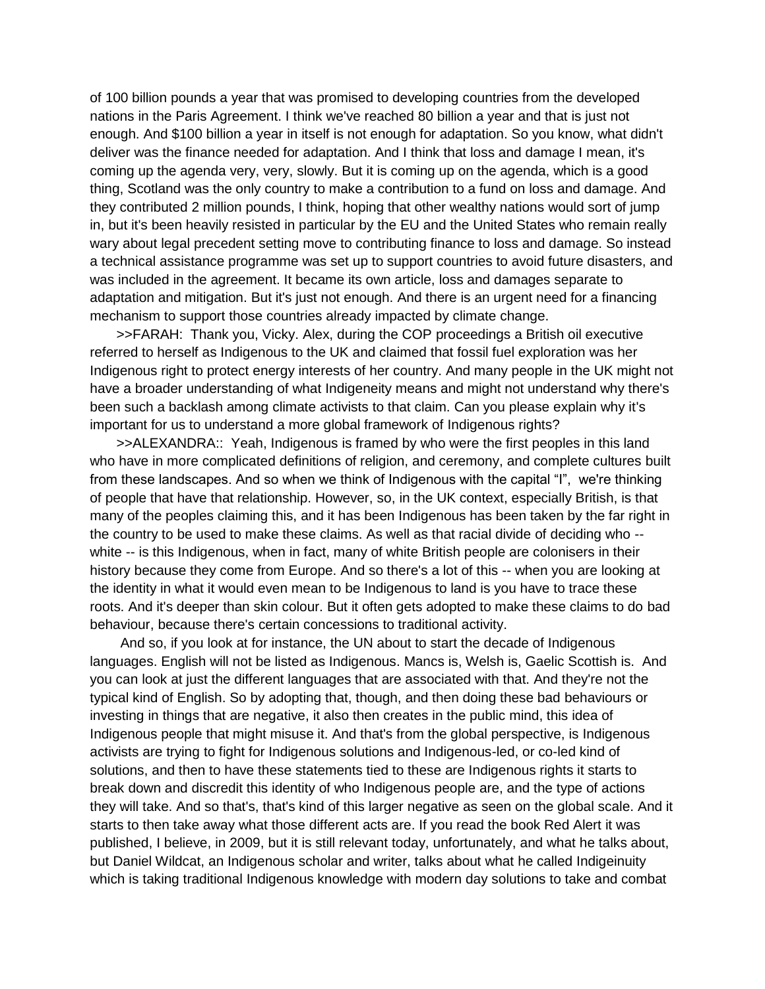of 100 billion pounds a year that was promised to developing countries from the developed nations in the Paris Agreement. I think we've reached 80 billion a year and that is just not enough. And \$100 billion a year in itself is not enough for adaptation. So you know, what didn't deliver was the finance needed for adaptation. And I think that loss and damage I mean, it's coming up the agenda very, very, slowly. But it is coming up on the agenda, which is a good thing, Scotland was the only country to make a contribution to a fund on loss and damage. And they contributed 2 million pounds, I think, hoping that other wealthy nations would sort of jump in, but it's been heavily resisted in particular by the EU and the United States who remain really wary about legal precedent setting move to contributing finance to loss and damage. So instead a technical assistance programme was set up to support countries to avoid future disasters, and was included in the agreement. It became its own article, loss and damages separate to adaptation and mitigation. But it's just not enough. And there is an urgent need for a financing mechanism to support those countries already impacted by climate change.

>>FARAH: Thank you, Vicky. Alex, during the COP proceedings a British oil executive referred to herself as Indigenous to the UK and claimed that fossil fuel exploration was her Indigenous right to protect energy interests of her country. And many people in the UK might not have a broader understanding of what Indigeneity means and might not understand why there's been such a backlash among climate activists to that claim. Can you please explain why it's important for us to understand a more global framework of Indigenous rights?

>>ALEXANDRA:: Yeah, Indigenous is framed by who were the first peoples in this land who have in more complicated definitions of religion, and ceremony, and complete cultures built from these landscapes. And so when we think of Indigenous with the capital "I", we're thinking of people that have that relationship. However, so, in the UK context, especially British, is that many of the peoples claiming this, and it has been Indigenous has been taken by the far right in the country to be used to make these claims. As well as that racial divide of deciding who - white -- is this Indigenous, when in fact, many of white British people are colonisers in their history because they come from Europe. And so there's a lot of this -- when you are looking at the identity in what it would even mean to be Indigenous to land is you have to trace these roots. And it's deeper than skin colour. But it often gets adopted to make these claims to do bad behaviour, because there's certain concessions to traditional activity.

And so, if you look at for instance, the UN about to start the decade of Indigenous languages. English will not be listed as Indigenous. Mancs is, Welsh is, Gaelic Scottish is. And you can look at just the different languages that are associated with that. And they're not the typical kind of English. So by adopting that, though, and then doing these bad behaviours or investing in things that are negative, it also then creates in the public mind, this idea of Indigenous people that might misuse it. And that's from the global perspective, is Indigenous activists are trying to fight for Indigenous solutions and Indigenous-led, or co-led kind of solutions, and then to have these statements tied to these are Indigenous rights it starts to break down and discredit this identity of who Indigenous people are, and the type of actions they will take. And so that's, that's kind of this larger negative as seen on the global scale. And it starts to then take away what those different acts are. If you read the book Red Alert it was published, I believe, in 2009, but it is still relevant today, unfortunately, and what he talks about, but Daniel Wildcat, an Indigenous scholar and writer, talks about what he called Indigeinuity which is taking traditional Indigenous knowledge with modern day solutions to take and combat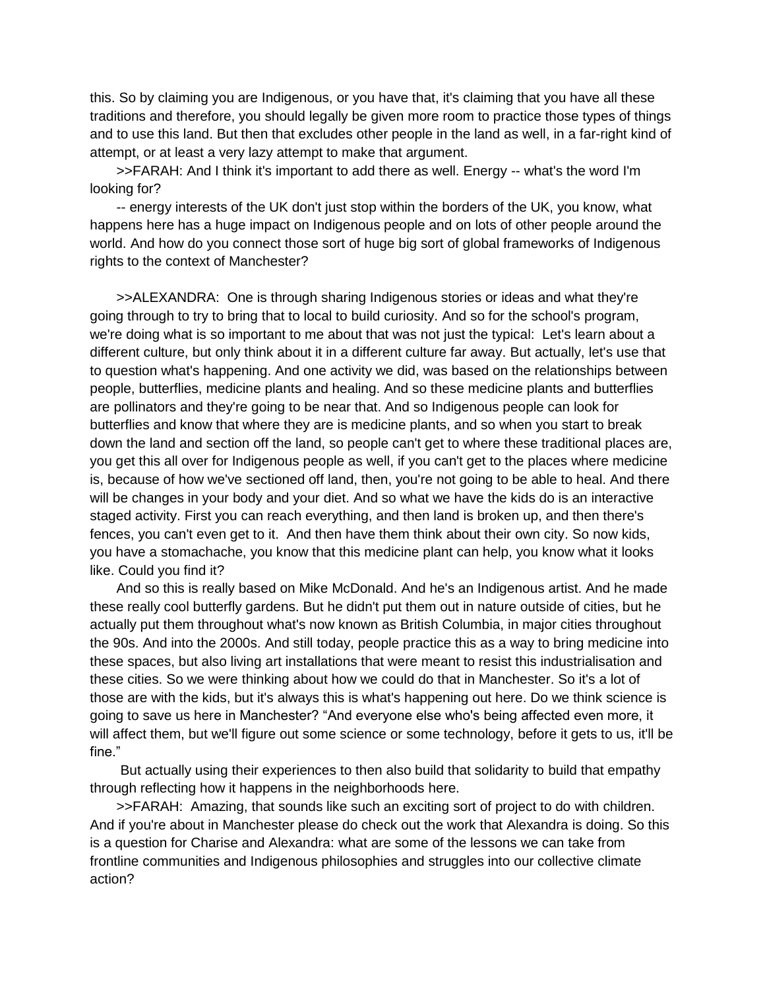this. So by claiming you are Indigenous, or you have that, it's claiming that you have all these traditions and therefore, you should legally be given more room to practice those types of things and to use this land. But then that excludes other people in the land as well, in a far-right kind of attempt, or at least a very lazy attempt to make that argument.

>>FARAH: And I think it's important to add there as well. Energy -- what's the word I'm looking for?

-- energy interests of the UK don't just stop within the borders of the UK, you know, what happens here has a huge impact on Indigenous people and on lots of other people around the world. And how do you connect those sort of huge big sort of global frameworks of Indigenous rights to the context of Manchester?

>>ALEXANDRA: One is through sharing Indigenous stories or ideas and what they're going through to try to bring that to local to build curiosity. And so for the school's program, we're doing what is so important to me about that was not just the typical: Let's learn about a different culture, but only think about it in a different culture far away. But actually, let's use that to question what's happening. And one activity we did, was based on the relationships between people, butterflies, medicine plants and healing. And so these medicine plants and butterflies are pollinators and they're going to be near that. And so Indigenous people can look for butterflies and know that where they are is medicine plants, and so when you start to break down the land and section off the land, so people can't get to where these traditional places are, you get this all over for Indigenous people as well, if you can't get to the places where medicine is, because of how we've sectioned off land, then, you're not going to be able to heal. And there will be changes in your body and your diet. And so what we have the kids do is an interactive staged activity. First you can reach everything, and then land is broken up, and then there's fences, you can't even get to it. And then have them think about their own city. So now kids, you have a stomachache, you know that this medicine plant can help, you know what it looks like. Could you find it?

And so this is really based on Mike McDonald. And he's an Indigenous artist. And he made these really cool butterfly gardens. But he didn't put them out in nature outside of cities, but he actually put them throughout what's now known as British Columbia, in major cities throughout the 90s. And into the 2000s. And still today, people practice this as a way to bring medicine into these spaces, but also living art installations that were meant to resist this industrialisation and these cities. So we were thinking about how we could do that in Manchester. So it's a lot of those are with the kids, but it's always this is what's happening out here. Do we think science is going to save us here in Manchester? "And everyone else who's being affected even more, it will affect them, but we'll figure out some science or some technology, before it gets to us, it'll be fine."

But actually using their experiences to then also build that solidarity to build that empathy through reflecting how it happens in the neighborhoods here.

>>FARAH: Amazing, that sounds like such an exciting sort of project to do with children. And if you're about in Manchester please do check out the work that Alexandra is doing. So this is a question for Charise and Alexandra: what are some of the lessons we can take from frontline communities and Indigenous philosophies and struggles into our collective climate action?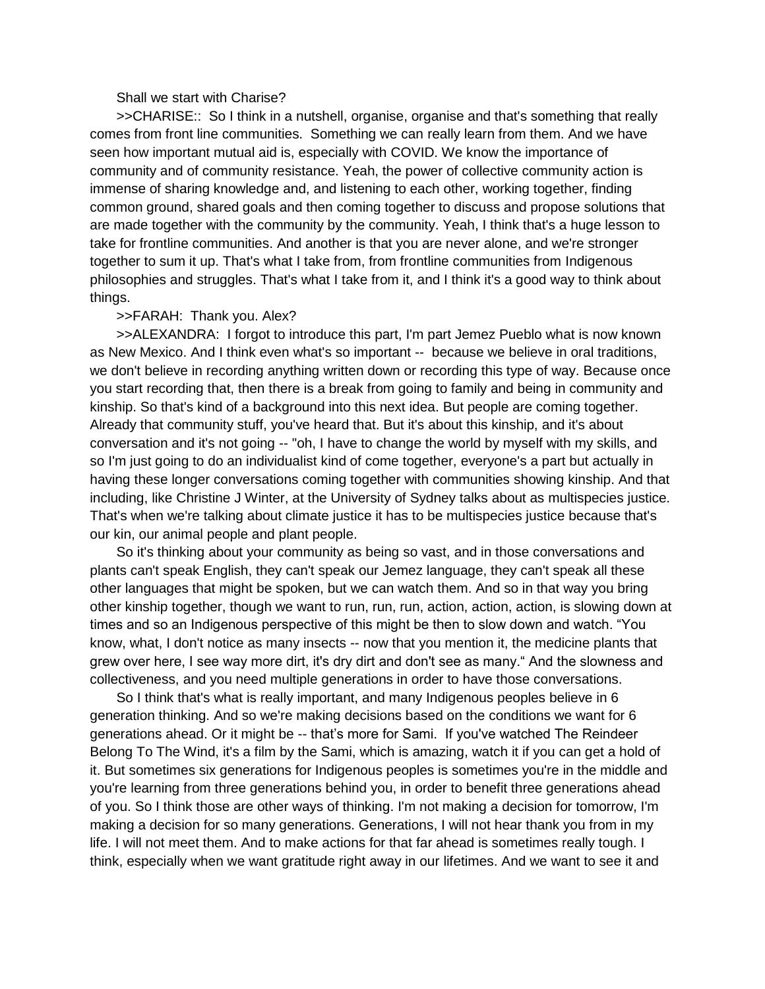### Shall we start with Charise?

>>CHARISE:: So I think in a nutshell, organise, organise and that's something that really comes from front line communities. Something we can really learn from them. And we have seen how important mutual aid is, especially with COVID. We know the importance of community and of community resistance. Yeah, the power of collective community action is immense of sharing knowledge and, and listening to each other, working together, finding common ground, shared goals and then coming together to discuss and propose solutions that are made together with the community by the community. Yeah, I think that's a huge lesson to take for frontline communities. And another is that you are never alone, and we're stronger together to sum it up. That's what I take from, from frontline communities from Indigenous philosophies and struggles. That's what I take from it, and I think it's a good way to think about things.

#### >>FARAH: Thank you. Alex?

>>ALEXANDRA: I forgot to introduce this part, I'm part Jemez Pueblo what is now known as New Mexico. And I think even what's so important -- because we believe in oral traditions, we don't believe in recording anything written down or recording this type of way. Because once you start recording that, then there is a break from going to family and being in community and kinship. So that's kind of a background into this next idea. But people are coming together. Already that community stuff, you've heard that. But it's about this kinship, and it's about conversation and it's not going -- "oh, I have to change the world by myself with my skills, and so I'm just going to do an individualist kind of come together, everyone's a part but actually in having these longer conversations coming together with communities showing kinship. And that including, like Christine J Winter, at the University of Sydney talks about as multispecies justice. That's when we're talking about climate justice it has to be multispecies justice because that's our kin, our animal people and plant people.

So it's thinking about your community as being so vast, and in those conversations and plants can't speak English, they can't speak our Jemez language, they can't speak all these other languages that might be spoken, but we can watch them. And so in that way you bring other kinship together, though we want to run, run, run, action, action, action, is slowing down at times and so an Indigenous perspective of this might be then to slow down and watch. "You know, what, I don't notice as many insects -- now that you mention it, the medicine plants that grew over here, I see way more dirt, it's dry dirt and don't see as many." And the slowness and collectiveness, and you need multiple generations in order to have those conversations.

So I think that's what is really important, and many Indigenous peoples believe in 6 generation thinking. And so we're making decisions based on the conditions we want for 6 generations ahead. Or it might be -- that's more for Sami. If you've watched The Reindeer Belong To The Wind, it's a film by the Sami, which is amazing, watch it if you can get a hold of it. But sometimes six generations for Indigenous peoples is sometimes you're in the middle and you're learning from three generations behind you, in order to benefit three generations ahead of you. So I think those are other ways of thinking. I'm not making a decision for tomorrow, I'm making a decision for so many generations. Generations, I will not hear thank you from in my life. I will not meet them. And to make actions for that far ahead is sometimes really tough. I think, especially when we want gratitude right away in our lifetimes. And we want to see it and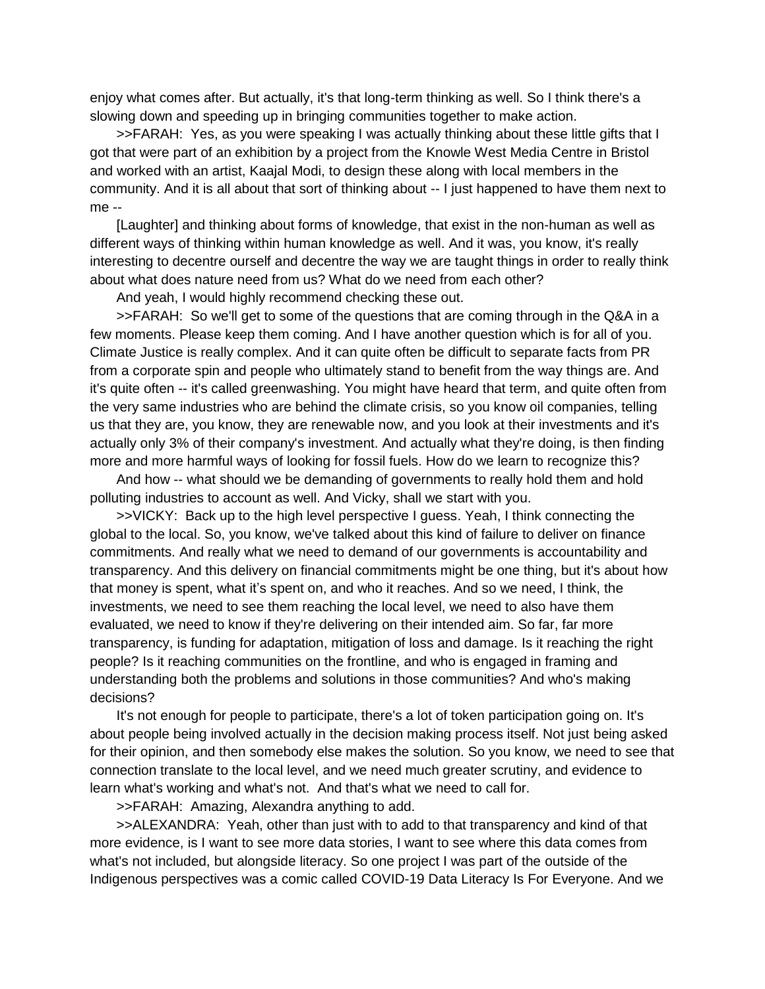enjoy what comes after. But actually, it's that long-term thinking as well. So I think there's a slowing down and speeding up in bringing communities together to make action.

>>FARAH: Yes, as you were speaking I was actually thinking about these little gifts that I got that were part of an exhibition by a project from the Knowle West Media Centre in Bristol and worked with an artist, Kaajal Modi, to design these along with local members in the community. And it is all about that sort of thinking about -- I just happened to have them next to me --

[Laughter] and thinking about forms of knowledge, that exist in the non-human as well as different ways of thinking within human knowledge as well. And it was, you know, it's really interesting to decentre ourself and decentre the way we are taught things in order to really think about what does nature need from us? What do we need from each other?

And yeah, I would highly recommend checking these out.

>>FARAH: So we'll get to some of the questions that are coming through in the Q&A in a few moments. Please keep them coming. And I have another question which is for all of you. Climate Justice is really complex. And it can quite often be difficult to separate facts from PR from a corporate spin and people who ultimately stand to benefit from the way things are. And it's quite often -- it's called greenwashing. You might have heard that term, and quite often from the very same industries who are behind the climate crisis, so you know oil companies, telling us that they are, you know, they are renewable now, and you look at their investments and it's actually only 3% of their company's investment. And actually what they're doing, is then finding more and more harmful ways of looking for fossil fuels. How do we learn to recognize this?

And how -- what should we be demanding of governments to really hold them and hold polluting industries to account as well. And Vicky, shall we start with you.

>>VICKY: Back up to the high level perspective I guess. Yeah, I think connecting the global to the local. So, you know, we've talked about this kind of failure to deliver on finance commitments. And really what we need to demand of our governments is accountability and transparency. And this delivery on financial commitments might be one thing, but it's about how that money is spent, what it's spent on, and who it reaches. And so we need, I think, the investments, we need to see them reaching the local level, we need to also have them evaluated, we need to know if they're delivering on their intended aim. So far, far more transparency, is funding for adaptation, mitigation of loss and damage. Is it reaching the right people? Is it reaching communities on the frontline, and who is engaged in framing and understanding both the problems and solutions in those communities? And who's making decisions?

It's not enough for people to participate, there's a lot of token participation going on. It's about people being involved actually in the decision making process itself. Not just being asked for their opinion, and then somebody else makes the solution. So you know, we need to see that connection translate to the local level, and we need much greater scrutiny, and evidence to learn what's working and what's not. And that's what we need to call for.

>>FARAH: Amazing, Alexandra anything to add.

>>ALEXANDRA: Yeah, other than just with to add to that transparency and kind of that more evidence, is I want to see more data stories, I want to see where this data comes from what's not included, but alongside literacy. So one project I was part of the outside of the Indigenous perspectives was a comic called COVID-19 Data Literacy Is For Everyone. And we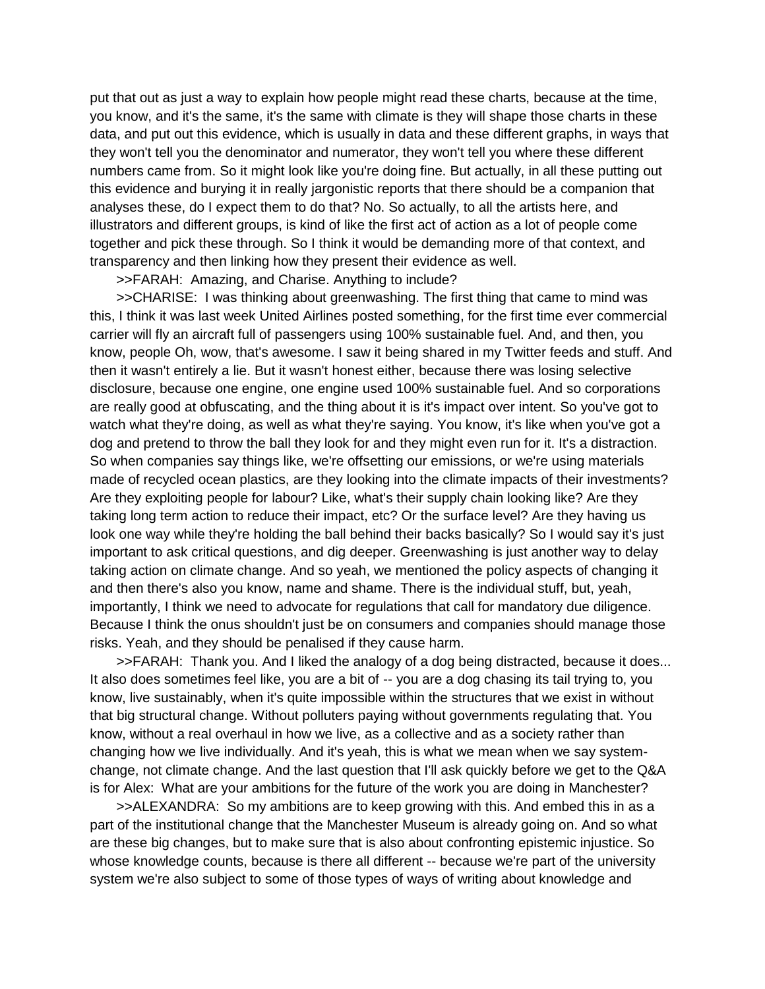put that out as just a way to explain how people might read these charts, because at the time, you know, and it's the same, it's the same with climate is they will shape those charts in these data, and put out this evidence, which is usually in data and these different graphs, in ways that they won't tell you the denominator and numerator, they won't tell you where these different numbers came from. So it might look like you're doing fine. But actually, in all these putting out this evidence and burying it in really jargonistic reports that there should be a companion that analyses these, do I expect them to do that? No. So actually, to all the artists here, and illustrators and different groups, is kind of like the first act of action as a lot of people come together and pick these through. So I think it would be demanding more of that context, and transparency and then linking how they present their evidence as well.

>>FARAH: Amazing, and Charise. Anything to include?

>>CHARISE: I was thinking about greenwashing. The first thing that came to mind was this, I think it was last week United Airlines posted something, for the first time ever commercial carrier will fly an aircraft full of passengers using 100% sustainable fuel. And, and then, you know, people Oh, wow, that's awesome. I saw it being shared in my Twitter feeds and stuff. And then it wasn't entirely a lie. But it wasn't honest either, because there was losing selective disclosure, because one engine, one engine used 100% sustainable fuel. And so corporations are really good at obfuscating, and the thing about it is it's impact over intent. So you've got to watch what they're doing, as well as what they're saying. You know, it's like when you've got a dog and pretend to throw the ball they look for and they might even run for it. It's a distraction. So when companies say things like, we're offsetting our emissions, or we're using materials made of recycled ocean plastics, are they looking into the climate impacts of their investments? Are they exploiting people for labour? Like, what's their supply chain looking like? Are they taking long term action to reduce their impact, etc? Or the surface level? Are they having us look one way while they're holding the ball behind their backs basically? So I would say it's just important to ask critical questions, and dig deeper. Greenwashing is just another way to delay taking action on climate change. And so yeah, we mentioned the policy aspects of changing it and then there's also you know, name and shame. There is the individual stuff, but, yeah, importantly, I think we need to advocate for regulations that call for mandatory due diligence. Because I think the onus shouldn't just be on consumers and companies should manage those risks. Yeah, and they should be penalised if they cause harm.

>>FARAH: Thank you. And I liked the analogy of a dog being distracted, because it does... It also does sometimes feel like, you are a bit of -- you are a dog chasing its tail trying to, you know, live sustainably, when it's quite impossible within the structures that we exist in without that big structural change. Without polluters paying without governments regulating that. You know, without a real overhaul in how we live, as a collective and as a society rather than changing how we live individually. And it's yeah, this is what we mean when we say systemchange, not climate change. And the last question that I'll ask quickly before we get to the Q&A is for Alex: What are your ambitions for the future of the work you are doing in Manchester?

>>ALEXANDRA: So my ambitions are to keep growing with this. And embed this in as a part of the institutional change that the Manchester Museum is already going on. And so what are these big changes, but to make sure that is also about confronting epistemic injustice. So whose knowledge counts, because is there all different -- because we're part of the university system we're also subject to some of those types of ways of writing about knowledge and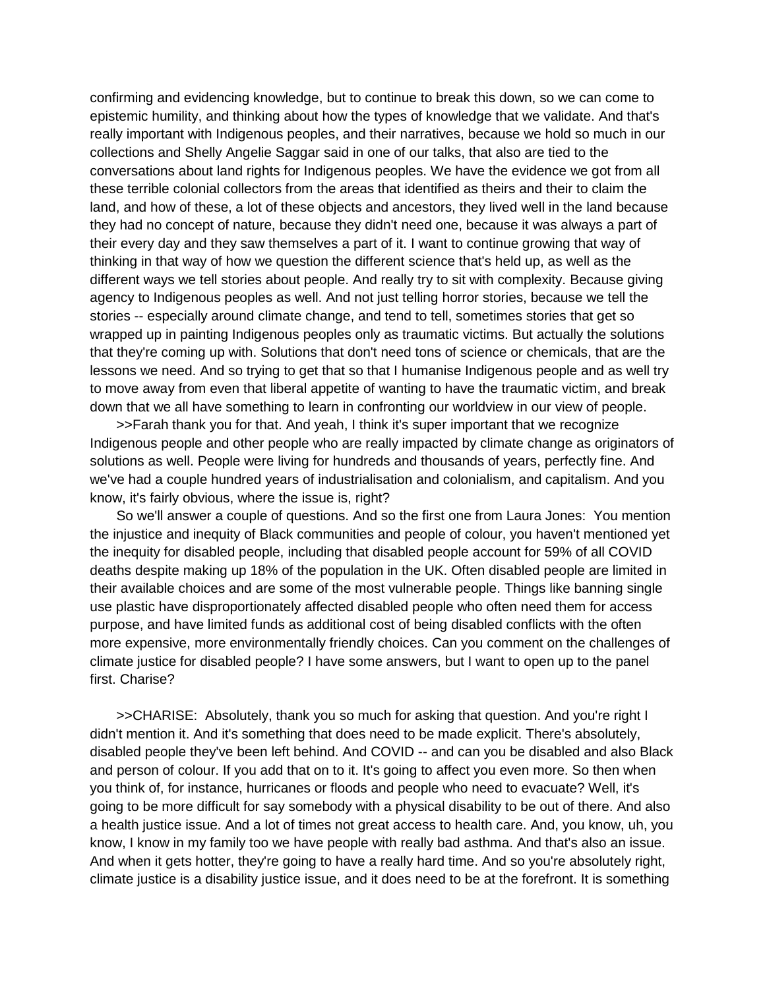confirming and evidencing knowledge, but to continue to break this down, so we can come to epistemic humility, and thinking about how the types of knowledge that we validate. And that's really important with Indigenous peoples, and their narratives, because we hold so much in our collections and Shelly Angelie Saggar said in one of our talks, that also are tied to the conversations about land rights for Indigenous peoples. We have the evidence we got from all these terrible colonial collectors from the areas that identified as theirs and their to claim the land, and how of these, a lot of these objects and ancestors, they lived well in the land because they had no concept of nature, because they didn't need one, because it was always a part of their every day and they saw themselves a part of it. I want to continue growing that way of thinking in that way of how we question the different science that's held up, as well as the different ways we tell stories about people. And really try to sit with complexity. Because giving agency to Indigenous peoples as well. And not just telling horror stories, because we tell the stories -- especially around climate change, and tend to tell, sometimes stories that get so wrapped up in painting Indigenous peoples only as traumatic victims. But actually the solutions that they're coming up with. Solutions that don't need tons of science or chemicals, that are the lessons we need. And so trying to get that so that I humanise Indigenous people and as well try to move away from even that liberal appetite of wanting to have the traumatic victim, and break down that we all have something to learn in confronting our worldview in our view of people.

>>Farah thank you for that. And yeah, I think it's super important that we recognize Indigenous people and other people who are really impacted by climate change as originators of solutions as well. People were living for hundreds and thousands of years, perfectly fine. And we've had a couple hundred years of industrialisation and colonialism, and capitalism. And you know, it's fairly obvious, where the issue is, right?

So we'll answer a couple of questions. And so the first one from Laura Jones: You mention the injustice and inequity of Black communities and people of colour, you haven't mentioned yet the inequity for disabled people, including that disabled people account for 59% of all COVID deaths despite making up 18% of the population in the UK. Often disabled people are limited in their available choices and are some of the most vulnerable people. Things like banning single use plastic have disproportionately affected disabled people who often need them for access purpose, and have limited funds as additional cost of being disabled conflicts with the often more expensive, more environmentally friendly choices. Can you comment on the challenges of climate justice for disabled people? I have some answers, but I want to open up to the panel first. Charise?

>>CHARISE: Absolutely, thank you so much for asking that question. And you're right I didn't mention it. And it's something that does need to be made explicit. There's absolutely, disabled people they've been left behind. And COVID -- and can you be disabled and also Black and person of colour. If you add that on to it. It's going to affect you even more. So then when you think of, for instance, hurricanes or floods and people who need to evacuate? Well, it's going to be more difficult for say somebody with a physical disability to be out of there. And also a health justice issue. And a lot of times not great access to health care. And, you know, uh, you know, I know in my family too we have people with really bad asthma. And that's also an issue. And when it gets hotter, they're going to have a really hard time. And so you're absolutely right, climate justice is a disability justice issue, and it does need to be at the forefront. It is something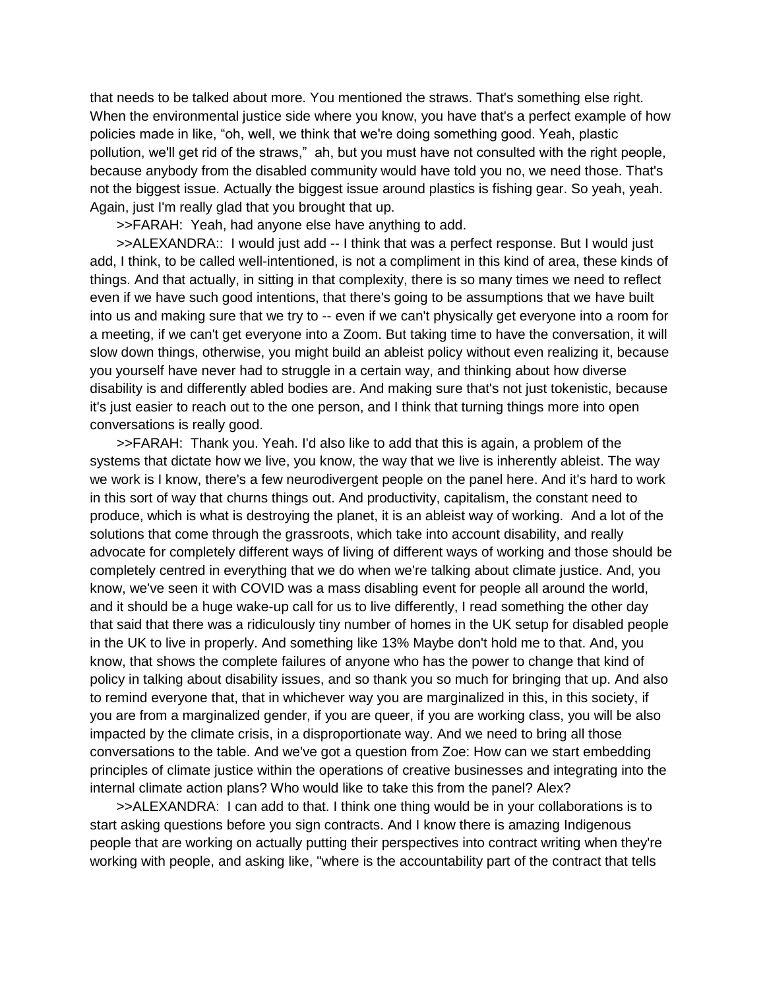that needs to be talked about more. You mentioned the straws. That's something else right. When the environmental justice side where you know, you have that's a perfect example of how policies made in like, "oh, well, we think that we're doing something good. Yeah, plastic pollution, we'll get rid of the straws," ah, but you must have not consulted with the right people, because anybody from the disabled community would have told you no, we need those. That's not the biggest issue. Actually the biggest issue around plastics is fishing gear. So yeah, yeah. Again, just I'm really glad that you brought that up.

>>FARAH: Yeah, had anyone else have anything to add.

>>ALEXANDRA:: I would just add -- I think that was a perfect response. But I would just add, I think, to be called well-intentioned, is not a compliment in this kind of area, these kinds of things. And that actually, in sitting in that complexity, there is so many times we need to reflect even if we have such good intentions, that there's going to be assumptions that we have built into us and making sure that we try to -- even if we can't physically get everyone into a room for a meeting, if we can't get everyone into a Zoom. But taking time to have the conversation, it will slow down things, otherwise, you might build an ableist policy without even realizing it, because you yourself have never had to struggle in a certain way, and thinking about how diverse disability is and differently abled bodies are. And making sure that's not just tokenistic, because it's just easier to reach out to the one person, and I think that turning things more into open conversations is really good.

>>FARAH: Thank you. Yeah. I'd also like to add that this is again, a problem of the systems that dictate how we live, you know, the way that we live is inherently ableist. The way we work is I know, there's a few neurodivergent people on the panel here. And it's hard to work in this sort of way that churns things out. And productivity, capitalism, the constant need to produce, which is what is destroying the planet, it is an ableist way of working. And a lot of the solutions that come through the grassroots, which take into account disability, and really advocate for completely different ways of living of different ways of working and those should be completely centred in everything that we do when we're talking about climate justice. And, you know, we've seen it with COVID was a mass disabling event for people all around the world, and it should be a huge wake-up call for us to live differently, I read something the other day that said that there was a ridiculously tiny number of homes in the UK setup for disabled people in the UK to live in properly. And something like 13% Maybe don't hold me to that. And, you know, that shows the complete failures of anyone who has the power to change that kind of policy in talking about disability issues, and so thank you so much for bringing that up. And also to remind everyone that, that in whichever way you are marginalized in this, in this society, if you are from a marginalized gender, if you are queer, if you are working class, you will be also impacted by the climate crisis, in a disproportionate way. And we need to bring all those conversations to the table. And we've got a question from Zoe: How can we start embedding principles of climate justice within the operations of creative businesses and integrating into the internal climate action plans? Who would like to take this from the panel? Alex?

>>ALEXANDRA: I can add to that. I think one thing would be in your collaborations is to start asking questions before you sign contracts. And I know there is amazing Indigenous people that are working on actually putting their perspectives into contract writing when they're working with people, and asking like, "where is the accountability part of the contract that tells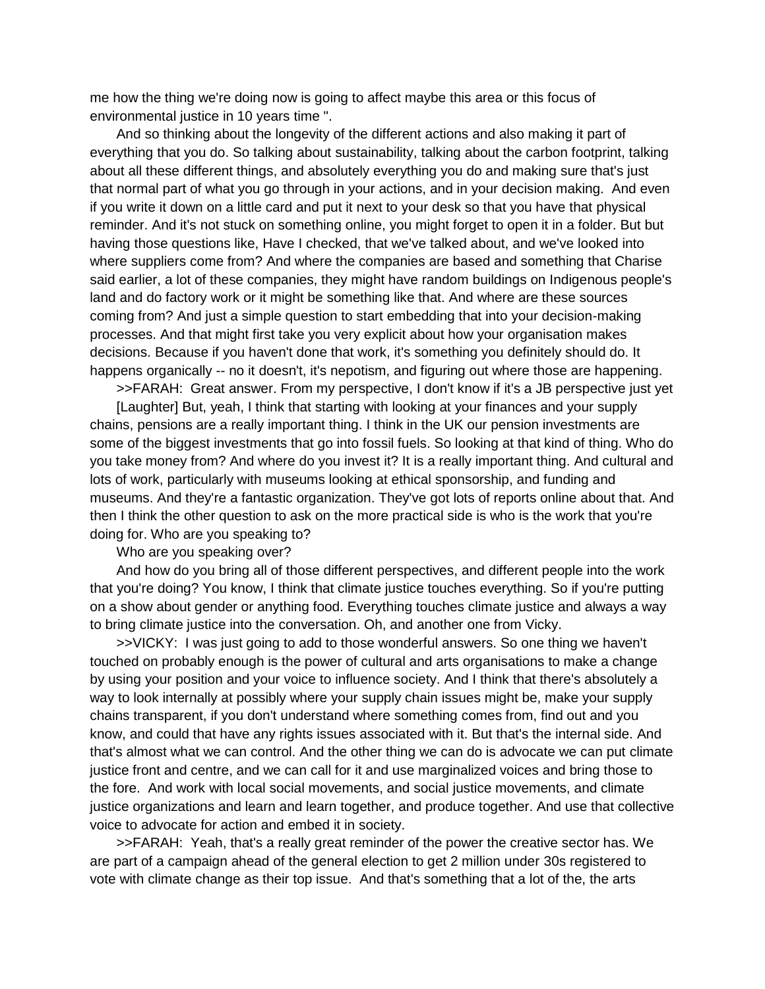me how the thing we're doing now is going to affect maybe this area or this focus of environmental justice in 10 years time ".

And so thinking about the longevity of the different actions and also making it part of everything that you do. So talking about sustainability, talking about the carbon footprint, talking about all these different things, and absolutely everything you do and making sure that's just that normal part of what you go through in your actions, and in your decision making. And even if you write it down on a little card and put it next to your desk so that you have that physical reminder. And it's not stuck on something online, you might forget to open it in a folder. But but having those questions like, Have I checked, that we've talked about, and we've looked into where suppliers come from? And where the companies are based and something that Charise said earlier, a lot of these companies, they might have random buildings on Indigenous people's land and do factory work or it might be something like that. And where are these sources coming from? And just a simple question to start embedding that into your decision-making processes. And that might first take you very explicit about how your organisation makes decisions. Because if you haven't done that work, it's something you definitely should do. It happens organically -- no it doesn't, it's nepotism, and figuring out where those are happening.

>>FARAH: Great answer. From my perspective, I don't know if it's a JB perspective just yet

[Laughter] But, yeah, I think that starting with looking at your finances and your supply chains, pensions are a really important thing. I think in the UK our pension investments are some of the biggest investments that go into fossil fuels. So looking at that kind of thing. Who do you take money from? And where do you invest it? It is a really important thing. And cultural and lots of work, particularly with museums looking at ethical sponsorship, and funding and museums. And they're a fantastic organization. They've got lots of reports online about that. And then I think the other question to ask on the more practical side is who is the work that you're doing for. Who are you speaking to?

Who are you speaking over?

And how do you bring all of those different perspectives, and different people into the work that you're doing? You know, I think that climate justice touches everything. So if you're putting on a show about gender or anything food. Everything touches climate justice and always a way to bring climate justice into the conversation. Oh, and another one from Vicky.

>>VICKY: I was just going to add to those wonderful answers. So one thing we haven't touched on probably enough is the power of cultural and arts organisations to make a change by using your position and your voice to influence society. And I think that there's absolutely a way to look internally at possibly where your supply chain issues might be, make your supply chains transparent, if you don't understand where something comes from, find out and you know, and could that have any rights issues associated with it. But that's the internal side. And that's almost what we can control. And the other thing we can do is advocate we can put climate justice front and centre, and we can call for it and use marginalized voices and bring those to the fore. And work with local social movements, and social justice movements, and climate justice organizations and learn and learn together, and produce together. And use that collective voice to advocate for action and embed it in society.

>>FARAH: Yeah, that's a really great reminder of the power the creative sector has. We are part of a campaign ahead of the general election to get 2 million under 30s registered to vote with climate change as their top issue. And that's something that a lot of the, the arts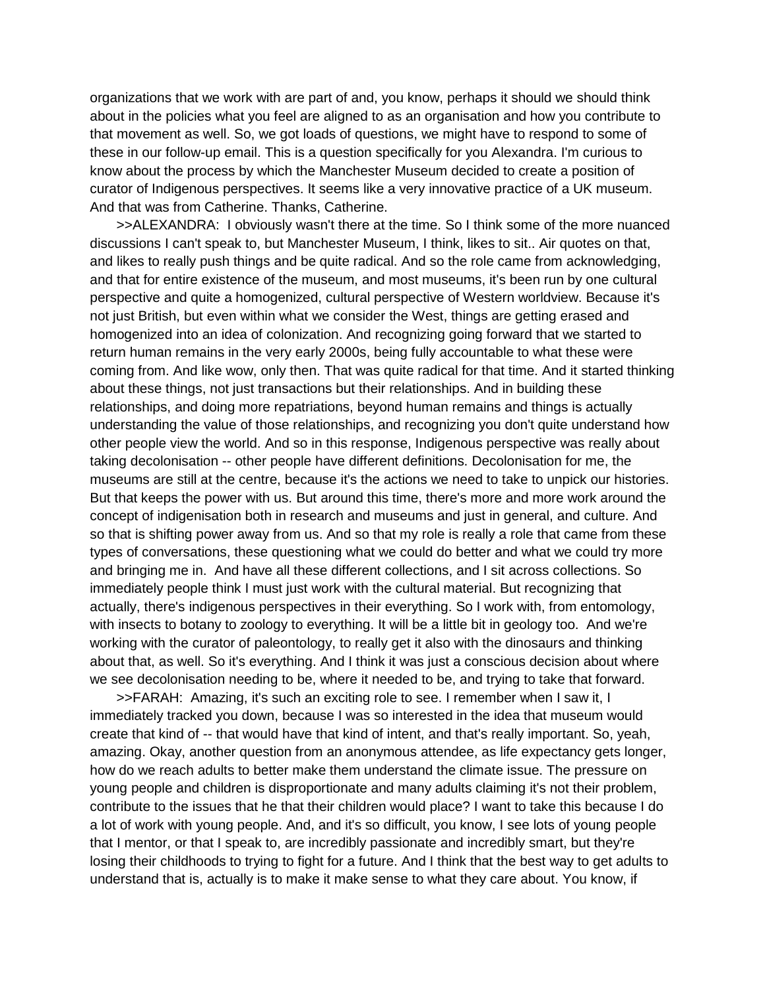organizations that we work with are part of and, you know, perhaps it should we should think about in the policies what you feel are aligned to as an organisation and how you contribute to that movement as well. So, we got loads of questions, we might have to respond to some of these in our follow-up email. This is a question specifically for you Alexandra. I'm curious to know about the process by which the Manchester Museum decided to create a position of curator of Indigenous perspectives. It seems like a very innovative practice of a UK museum. And that was from Catherine. Thanks, Catherine.

>>ALEXANDRA: I obviously wasn't there at the time. So I think some of the more nuanced discussions I can't speak to, but Manchester Museum, I think, likes to sit.. Air quotes on that, and likes to really push things and be quite radical. And so the role came from acknowledging, and that for entire existence of the museum, and most museums, it's been run by one cultural perspective and quite a homogenized, cultural perspective of Western worldview. Because it's not just British, but even within what we consider the West, things are getting erased and homogenized into an idea of colonization. And recognizing going forward that we started to return human remains in the very early 2000s, being fully accountable to what these were coming from. And like wow, only then. That was quite radical for that time. And it started thinking about these things, not just transactions but their relationships. And in building these relationships, and doing more repatriations, beyond human remains and things is actually understanding the value of those relationships, and recognizing you don't quite understand how other people view the world. And so in this response, Indigenous perspective was really about taking decolonisation -- other people have different definitions. Decolonisation for me, the museums are still at the centre, because it's the actions we need to take to unpick our histories. But that keeps the power with us. But around this time, there's more and more work around the concept of indigenisation both in research and museums and just in general, and culture. And so that is shifting power away from us. And so that my role is really a role that came from these types of conversations, these questioning what we could do better and what we could try more and bringing me in. And have all these different collections, and I sit across collections. So immediately people think I must just work with the cultural material. But recognizing that actually, there's indigenous perspectives in their everything. So I work with, from entomology, with insects to botany to zoology to everything. It will be a little bit in geology too. And we're working with the curator of paleontology, to really get it also with the dinosaurs and thinking about that, as well. So it's everything. And I think it was just a conscious decision about where we see decolonisation needing to be, where it needed to be, and trying to take that forward.

>>FARAH: Amazing, it's such an exciting role to see. I remember when I saw it, I immediately tracked you down, because I was so interested in the idea that museum would create that kind of -- that would have that kind of intent, and that's really important. So, yeah, amazing. Okay, another question from an anonymous attendee, as life expectancy gets longer, how do we reach adults to better make them understand the climate issue. The pressure on young people and children is disproportionate and many adults claiming it's not their problem, contribute to the issues that he that their children would place? I want to take this because I do a lot of work with young people. And, and it's so difficult, you know, I see lots of young people that I mentor, or that I speak to, are incredibly passionate and incredibly smart, but they're losing their childhoods to trying to fight for a future. And I think that the best way to get adults to understand that is, actually is to make it make sense to what they care about. You know, if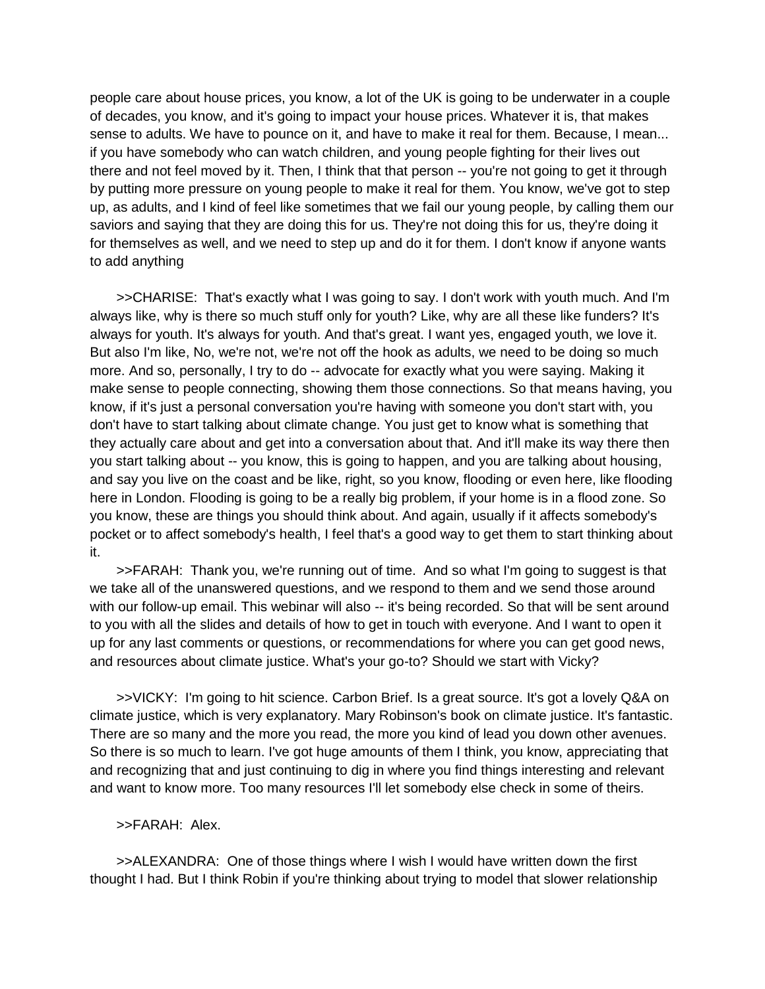people care about house prices, you know, a lot of the UK is going to be underwater in a couple of decades, you know, and it's going to impact your house prices. Whatever it is, that makes sense to adults. We have to pounce on it, and have to make it real for them. Because, I mean... if you have somebody who can watch children, and young people fighting for their lives out there and not feel moved by it. Then, I think that that person -- you're not going to get it through by putting more pressure on young people to make it real for them. You know, we've got to step up, as adults, and I kind of feel like sometimes that we fail our young people, by calling them our saviors and saying that they are doing this for us. They're not doing this for us, they're doing it for themselves as well, and we need to step up and do it for them. I don't know if anyone wants to add anything

>>CHARISE: That's exactly what I was going to say. I don't work with youth much. And I'm always like, why is there so much stuff only for youth? Like, why are all these like funders? It's always for youth. It's always for youth. And that's great. I want yes, engaged youth, we love it. But also I'm like, No, we're not, we're not off the hook as adults, we need to be doing so much more. And so, personally, I try to do -- advocate for exactly what you were saying. Making it make sense to people connecting, showing them those connections. So that means having, you know, if it's just a personal conversation you're having with someone you don't start with, you don't have to start talking about climate change. You just get to know what is something that they actually care about and get into a conversation about that. And it'll make its way there then you start talking about -- you know, this is going to happen, and you are talking about housing, and say you live on the coast and be like, right, so you know, flooding or even here, like flooding here in London. Flooding is going to be a really big problem, if your home is in a flood zone. So you know, these are things you should think about. And again, usually if it affects somebody's pocket or to affect somebody's health, I feel that's a good way to get them to start thinking about it.

>>FARAH: Thank you, we're running out of time. And so what I'm going to suggest is that we take all of the unanswered questions, and we respond to them and we send those around with our follow-up email. This webinar will also -- it's being recorded. So that will be sent around to you with all the slides and details of how to get in touch with everyone. And I want to open it up for any last comments or questions, or recommendations for where you can get good news, and resources about climate justice. What's your go-to? Should we start with Vicky?

>>VICKY: I'm going to hit science. Carbon Brief. Is a great source. It's got a lovely Q&A on climate justice, which is very explanatory. Mary Robinson's book on climate justice. It's fantastic. There are so many and the more you read, the more you kind of lead you down other avenues. So there is so much to learn. I've got huge amounts of them I think, you know, appreciating that and recognizing that and just continuing to dig in where you find things interesting and relevant and want to know more. Too many resources I'll let somebody else check in some of theirs.

# >>FARAH: Alex.

>>ALEXANDRA: One of those things where I wish I would have written down the first thought I had. But I think Robin if you're thinking about trying to model that slower relationship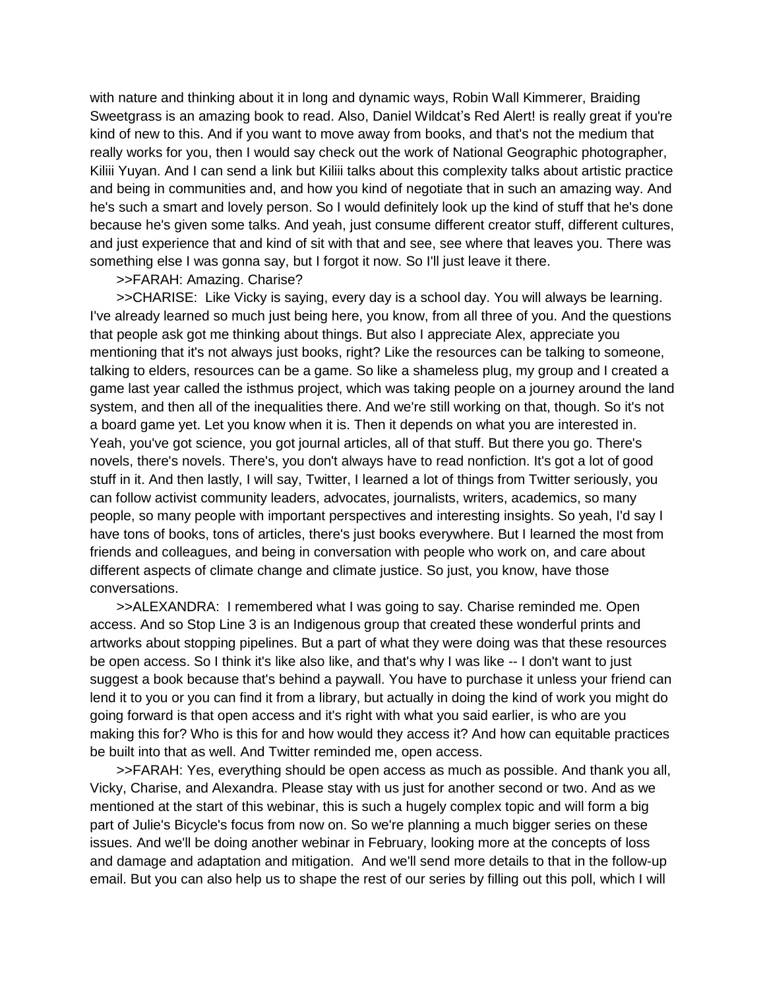with nature and thinking about it in long and dynamic ways, Robin Wall Kimmerer, Braiding Sweetgrass is an amazing book to read. Also, Daniel Wildcat's Red Alert! is really great if you're kind of new to this. And if you want to move away from books, and that's not the medium that really works for you, then I would say check out the work of National Geographic photographer, Kiliii Yuyan. And I can send a link but Kiliii talks about this complexity talks about artistic practice and being in communities and, and how you kind of negotiate that in such an amazing way. And he's such a smart and lovely person. So I would definitely look up the kind of stuff that he's done because he's given some talks. And yeah, just consume different creator stuff, different cultures, and just experience that and kind of sit with that and see, see where that leaves you. There was something else I was gonna say, but I forgot it now. So I'll just leave it there.

# >>FARAH: Amazing. Charise?

>>CHARISE: Like Vicky is saying, every day is a school day. You will always be learning. I've already learned so much just being here, you know, from all three of you. And the questions that people ask got me thinking about things. But also I appreciate Alex, appreciate you mentioning that it's not always just books, right? Like the resources can be talking to someone, talking to elders, resources can be a game. So like a shameless plug, my group and I created a game last year called the isthmus project, which was taking people on a journey around the land system, and then all of the inequalities there. And we're still working on that, though. So it's not a board game yet. Let you know when it is. Then it depends on what you are interested in. Yeah, you've got science, you got journal articles, all of that stuff. But there you go. There's novels, there's novels. There's, you don't always have to read nonfiction. It's got a lot of good stuff in it. And then lastly, I will say, Twitter, I learned a lot of things from Twitter seriously, you can follow activist community leaders, advocates, journalists, writers, academics, so many people, so many people with important perspectives and interesting insights. So yeah, I'd say I have tons of books, tons of articles, there's just books everywhere. But I learned the most from friends and colleagues, and being in conversation with people who work on, and care about different aspects of climate change and climate justice. So just, you know, have those conversations.

>>ALEXANDRA: I remembered what I was going to say. Charise reminded me. Open access. And so Stop Line 3 is an Indigenous group that created these wonderful prints and artworks about stopping pipelines. But a part of what they were doing was that these resources be open access. So I think it's like also like, and that's why I was like -- I don't want to just suggest a book because that's behind a paywall. You have to purchase it unless your friend can lend it to you or you can find it from a library, but actually in doing the kind of work you might do going forward is that open access and it's right with what you said earlier, is who are you making this for? Who is this for and how would they access it? And how can equitable practices be built into that as well. And Twitter reminded me, open access.

>>FARAH: Yes, everything should be open access as much as possible. And thank you all, Vicky, Charise, and Alexandra. Please stay with us just for another second or two. And as we mentioned at the start of this webinar, this is such a hugely complex topic and will form a big part of Julie's Bicycle's focus from now on. So we're planning a much bigger series on these issues. And we'll be doing another webinar in February, looking more at the concepts of loss and damage and adaptation and mitigation. And we'll send more details to that in the follow-up email. But you can also help us to shape the rest of our series by filling out this poll, which I will